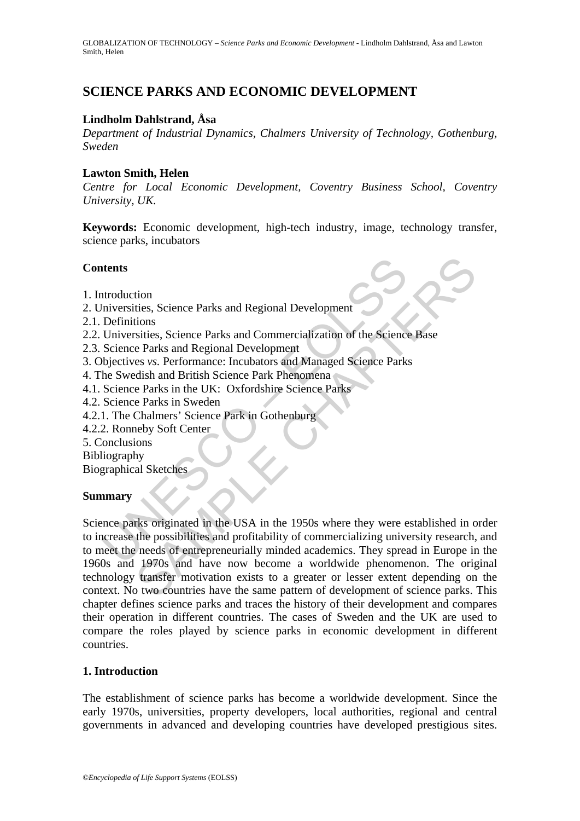# **SCIENCE PARKS AND ECONOMIC DEVELOPMENT**

# **Lindholm Dahlstrand, Åsa**

*Department of Industrial Dynamics, Chalmers University of Technology, Gothenburg, Sweden* 

### **Lawton Smith, Helen**

*Centre for Local Economic Development, Coventry Business School, Coventry University, UK.* 

**Keywords:** Economic development, high-tech industry, image, technology transfer, science parks, incubators

### **Contents**

- 1. Introduction
- 2. Universities, Science Parks and Regional Development
- 2.1. Definitions
- 2.2. Universities, Science Parks and Commercialization of the Science Base
- 2.3. Science Parks and Regional Development
- 3. Objectives *vs.* Performance: Incubators and Managed Science Parks
- 4. The Swedish and British Science Park Phenomena
- 4.1. Science Parks in the UK: Oxfordshire Science Parks
- 4.2. Science Parks in Sweden
- 4.2.1. The Chalmers' Science Park in Gothenburg
- 4.2.2. Ronneby Soft Center
- 5. Conclusions
- Bibliography

Biographical Sketches

# **Summary**

**Example 18 Set the Set of the USA in the USA in the Set of the Set of the Set of the Set of Seince Parks and Regional Development**<br>
Definitions<br>
Science Parks and Regional Development<br>
Science Parks and Regional Developme The set of the pair of the same pair of the Science parks.<br>
Secondary and Regional Development<br>
Secondary Science Parks and Commercialization of the Science Base<br>
SAMPLE CHAPTER CHAPTERS experience Chapter and Managed Scie Science parks originated in the USA in the 1950s where they were established in order to increase the possibilities and profitability of commercializing university research, and to meet the needs of entrepreneurially minded academics. They spread in Europe in the 1960s and 1970s and have now become a worldwide phenomenon. The original technology transfer motivation exists to a greater or lesser extent depending on the context. No two countries have the same pattern of development of science parks. This chapter defines science parks and traces the history of their development and compares their operation in different countries. The cases of Sweden and the UK are used to compare the roles played by science parks in economic development in different countries.

#### **1. Introduction**

The establishment of science parks has become a worldwide development. Since the early 1970s, universities, property developers, local authorities, regional and central governments in advanced and developing countries have developed prestigious sites.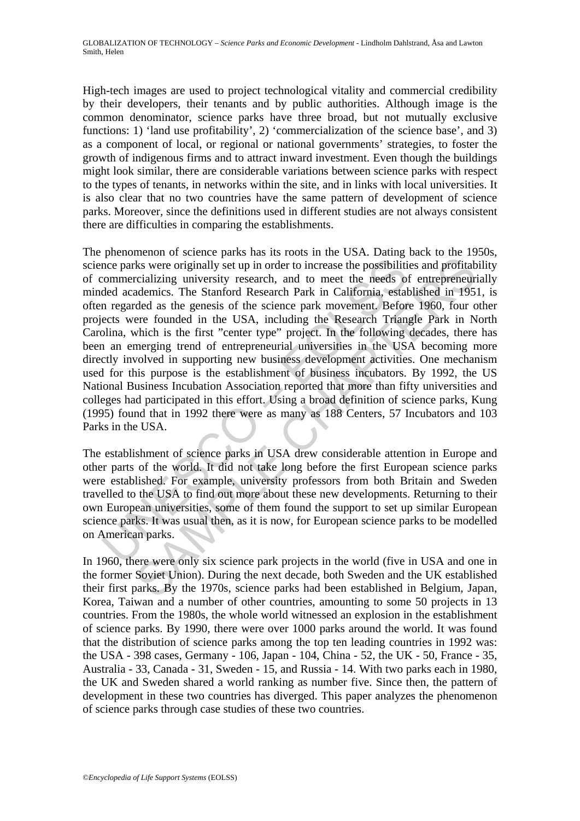High-tech images are used to project technological vitality and commercial credibility by their developers, their tenants and by public authorities. Although image is the common denominator, science parks have three broad, but not mutually exclusive functions: 1) 'land use profitability', 2) 'commercialization of the science base', and 3) as a component of local, or regional or national governments' strategies, to foster the growth of indigenous firms and to attract inward investment. Even though the buildings might look similar, there are considerable variations between science parks with respect to the types of tenants, in networks within the site, and in links with local universities. It is also clear that no two countries have the same pattern of development of science parks. Moreover, since the definitions used in different studies are not always consistent there are difficulties in comparing the establishments.

nee parks were originally set up in order to increase the possibilitic commercializing university research, and to meet the needs of ded academics. The Stanford Research Park in California, estal negarded as the genesis of means of contract and an extract and to meet the world and profitably set up in order to increase the possibilities and profitably criticalizing university research. And to meet the needs of entrepreneur deducations. The S The phenomenon of science parks has its roots in the USA. Dating back to the 1950s, science parks were originally set up in order to increase the possibilities and profitability of commercializing university research, and to meet the needs of entrepreneurially minded academics. The Stanford Research Park in California, established in 1951, is often regarded as the genesis of the science park movement. Before 1960, four other projects were founded in the USA, including the Research Triangle Park in North Carolina, which is the first "center type" project. In the following decades, there has been an emerging trend of entrepreneurial universities in the USA becoming more directly involved in supporting new business development activities. One mechanism used for this purpose is the establishment of business incubators. By 1992, the US National Business Incubation Association reported that more than fifty universities and colleges had participated in this effort. Using a broad definition of science parks, Kung (1995) found that in 1992 there were as many as 188 Centers, 57 Incubators and 103 Parks in the USA.

The establishment of science parks in USA drew considerable attention in Europe and other parts of the world. It did not take long before the first European science parks were established. For example, university professors from both Britain and Sweden travelled to the USA to find out more about these new developments. Returning to their own European universities, some of them found the support to set up similar European science parks. It was usual then, as it is now, for European science parks to be modelled on American parks.

In 1960, there were only six science park projects in the world (five in USA and one in the former Soviet Union). During the next decade, both Sweden and the UK established their first parks. By the 1970s, science parks had been established in Belgium, Japan, Korea, Taiwan and a number of other countries, amounting to some 50 projects in 13 countries. From the 1980s, the whole world witnessed an explosion in the establishment of science parks. By 1990, there were over 1000 parks around the world. It was found that the distribution of science parks among the top ten leading countries in 1992 was: the USA - 398 cases, Germany - 106, Japan - 104, China - 52, the UK - 50, France - 35, Australia - 33, Canada - 31, Sweden - 15, and Russia - 14. With two parks each in 1980, the UK and Sweden shared a world ranking as number five. Since then, the pattern of development in these two countries has diverged. This paper analyzes the phenomenon of science parks through case studies of these two countries.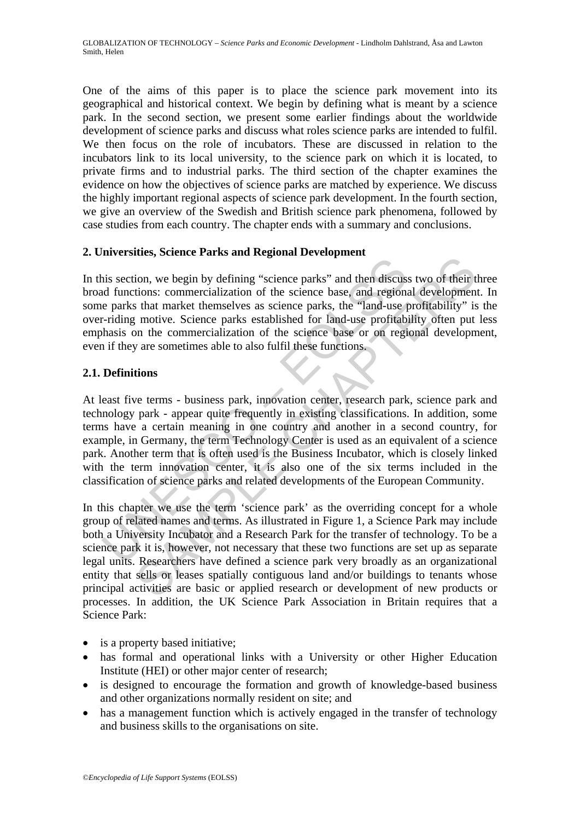One of the aims of this paper is to place the science park movement into its geographical and historical context. We begin by defining what is meant by a science park. In the second section, we present some earlier findings about the worldwide development of science parks and discuss what roles science parks are intended to fulfil. We then focus on the role of incubators. These are discussed in relation to the incubators link to its local university, to the science park on which it is located, to private firms and to industrial parks. The third section of the chapter examines the evidence on how the objectives of science parks are matched by experience. We discuss the highly important regional aspects of science park development. In the fourth section, we give an overview of the Swedish and British science park phenomena, followed by case studies from each country. The chapter ends with a summary and conclusions.

# **2. Universities, Science Parks and Regional Development**

In this section, we begin by defining "science parks" and then discuss two of their three broad functions: commercialization of the science base, and regional development. In some parks that market themselves as science parks, the "land-use profitability" is the over-riding motive. Science parks established for land-use profitability often put less emphasis on the commercialization of the science base or on regional development, even if they are sometimes able to also fulfil these functions.

# **2.1. Definitions**

The section, we begin by defining "science parks" and then discuss<br>and functions: commercialization of the science base, and regional<br>e parks that market themselves as science parks, the "land-use profitably<br>absorber. Frid At least five terms - business park, innovation center, research park, science park and technology park - appear quite frequently in existing classifications. In addition, some terms have a certain meaning in one country and another in a second country, for example, in Germany, the term Technology Center is used as an equivalent of a science park. Another term that is often used is the Business Incubator, which is closely linked with the term innovation center, it is also one of the six terms included in the classification of science parks and related developments of the European Community.

inclusions: connectrating into the size of the discussion of the discussion of the size of their discussion of the size of the size of the size of the size of the size of the size of the size of the size of the size of the In this chapter we use the term 'science park' as the overriding concept for a whole group of related names and terms. As illustrated in Figure 1, a Science Park may include both a University Incubator and a Research Park for the transfer of technology. To be a science park it is, however, not necessary that these two functions are set up as separate legal units. Researchers have defined a science park very broadly as an organizational entity that sells or leases spatially contiguous land and/or buildings to tenants whose principal activities are basic or applied research or development of new products or processes. In addition, the UK Science Park Association in Britain requires that a Science Park:

- is a property based initiative;
- has formal and operational links with a University or other Higher Education Institute (HEI) or other major center of research;
- is designed to encourage the formation and growth of knowledge-based business and other organizations normally resident on site; and
- has a management function which is actively engaged in the transfer of technology and business skills to the organisations on site.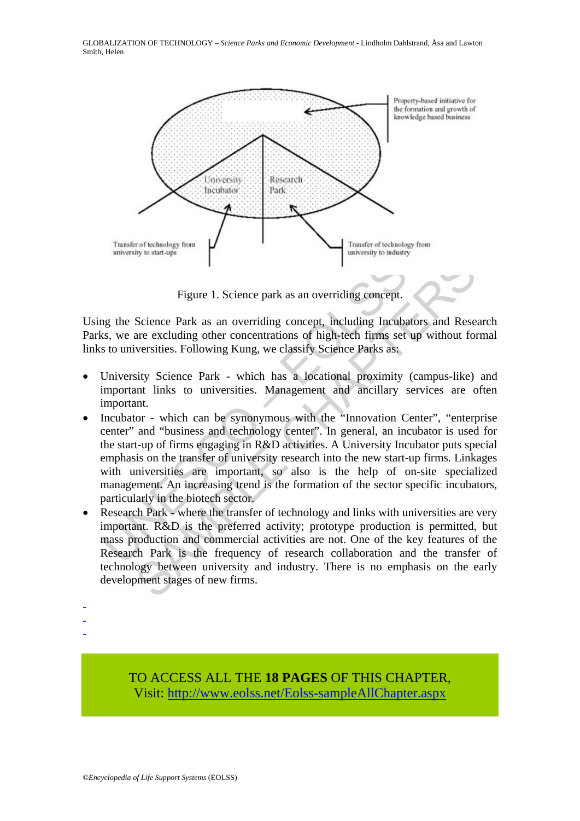GLOBALIZATION OF TECHNOLOGY – *Science Parks and Economic Development* - Lindholm Dahlstrand, Åsa and Lawton Smith, Helen



Figure 1. Science park as an overriding concept.

Using the Science Park as an overriding concept, including Incubators and Research Parks, we are excluding other concentrations of high-tech firms set up without formal links to universities. Following Kung, we classify Science Parks as:

- University Science Park which has a locational proximity (campus-like) and important links to universities. Management and ancillary services are often important.
- Figure 1. Science park as an overriding concept.<br>
Ig the Science Park as an overriding concept, including Incuba<br>
s, we are excluding other concentrations of high-tech firms set<br>
set to universities. Following Kung, we cla Figure 1. Science park as an overriding concept.<br>
Science Park as an overriding concept, including Incubators and Rese<br>
are excluding other concentrations of high-tech firms set up without for<br>
versities. Following Kung, w • Incubator - which can be synonymous with the "Innovation Center", "enterprise center" and "business and technology center". In general, an incubator is used for the start-up of firms engaging in R&D activities. A University Incubator puts special emphasis on the transfer of university research into the new start-up firms. Linkages with universities are important, so also is the help of on-site specialized management**.** An increasing trend is the formation of the sector specific incubators, particularly in the biotech sector.
- Research Park where the transfer of technology and links with universities are very important. R&D is the preferred activity; prototype production is permitted, but mass production and commercial activities are not. One of the key features of the Research Park is the frequency of research collaboration and the transfer of technology between university and industry. There is no emphasis on the early development stages of new firms.
- -
- -
- -

TO ACCESS ALL THE **18 PAGES** OF THIS CHAPTER, Visit: [http://www.eolss.net/Eolss-sampleAllChapter.aspx](https://www.eolss.net/ebooklib/sc_cart.aspx?File=E1-31-02-03)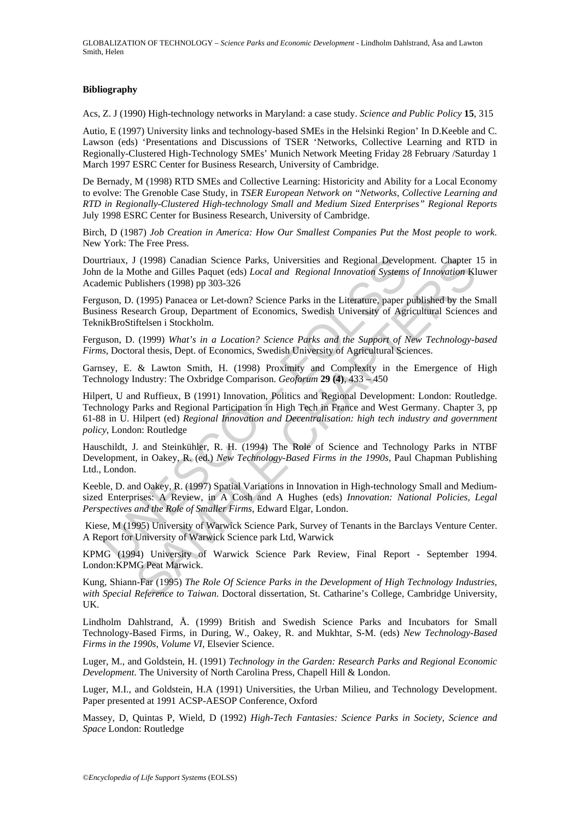GLOBALIZATION OF TECHNOLOGY – *Science Parks and Economic Development* - Lindholm Dahlstrand, Åsa and Lawton Smith, Helen

#### **Bibliography**

Acs, Z. J (1990) High-technology networks in Maryland: a case study. *Science and Public Policy* **15**, 315

Autio, E (1997) University links and technology-based SMEs in the Helsinki Region' In D.Keeble and C. Lawson (eds) 'Presentations and Discussions of TSER 'Networks, Collective Learning and RTD in Regionally-Clustered High-Technology SMEs' Munich Network Meeting Friday 28 February /Saturday 1 March 1997 ESRC Center for Business Research, University of Cambridge.

De Bernady, M (1998) RTD SMEs and Collective Learning: Historicity and Ability for a Local Economy to evolve: The Grenoble Case Study, in *TSER European Network on "Networks, Collective Learning and RTD in Regionally-Clustered High-technology Small and Medium Sized Enterprises" Regional Reports* July 1998 ESRC Center for Business Research, University of Cambridge.

Birch, D (1987) *Job Creation in America: How Our Smallest Companies Put the Most people to work.* New York: The Free Press.

Dourtriaux, J (1998) Canadian Science Parks, Universities and Regional Development. Chapter 15 in John de la Mothe and Gilles Paquet (eds) *Local and Regional Innovation Systems of Innovation* Kluwer Academic Publishers (1998) pp 303-326

Ferguson, D. (1995) Panacea or Let-down? Science Parks in the Literature, paper published by the Small Business Research Group, Department of Economics, Swedish University of Agricultural Sciences and TeknikBroStiftelsen i Stockholm.

Ferguson, D. (1999) *What's in a Location? Science Parks and the Support of New Technology-based Firms*, Doctoral thesis, Dept. of Economics, Swedish University of Agricultural Sciences.

Garnsey, E. & Lawton Smith, H. (1998) Proximity and Complexity in the Emergence of High Technology Industry: The Oxbridge Comparison. *Geoforum* **29 (4)**, 433 – 450

triaux, J (1998) Canadian Science Parks, Universities and Regional Develoff ela Mothe and Gilles Paquet (eds) *Local and Regional Innovation Systems*<br>denia Childes and Gilles Paquet (eds) *Local and Regional Innovation Sys* I (1998) Canadian Science Parks, Universities and Regional Development. Chapter<br>
olohe and Gilles Paquet (eds) *Local and Regional Innovation Systems of Innovation* Kl<br>
olohe and Gilles Paquet (eds) *Local and Regional Inn* Hilpert, U and Ruffieux, B (1991) Innovation, Politics and Regional Development: London: Routledge. Technology Parks and Regional Participation in High Tech in France and West Germany. Chapter 3, pp 61-88 in U. Hilpert (ed) *Regional Innovation and Decentralisation: high tech industry and government policy*, London: Routledge

Hauschildt, J. and Steinkühler, R. H. (1994) The Role of Science and Technology Parks in NTBF Development, in Oakey, R. (ed.) *New Technology-Based Firms in the 1990s*, Paul Chapman Publishing Ltd., London.

Keeble, D. and Oakey, R. (1997) Spatial Variations in Innovation in High-technology Small and Mediumsized Enterprises: A Review, in A Cosh and A Hughes (eds) *Innovation: National Policies, Legal Perspectives and the Role of Smaller Firms*, Edward Elgar, London.

 Kiese, M (1995) University of Warwick Science Park, Survey of Tenants in the Barclays Venture Center. A Report for University of Warwick Science park Ltd, Warwick

KPMG (1994) University of Warwick Science Park Review, Final Report - September 1994. London:KPMG Peat Marwick.

Kung, Shiann-Far (1995) *The Role Of Science Parks in the Development of High Technology Industries, with Special Reference to Taiwan*. Doctoral dissertation, St. Catharine's College, Cambridge University, UK.

Lindholm Dahlstrand, Å. (1999) British and Swedish Science Parks and Incubators for Small Technology-Based Firms, in During, W., Oakey, R. and Mukhtar, S-M. (eds) *New Technology-Based Firms in the 1990s, Volume VI*, Elsevier Science.

Luger, M., and Goldstein, H. (1991) *Technology in the Garden: Research Parks and Regional Economic Development*. The University of North Carolina Press, Chapell Hill & London.

Luger, M.I., and Goldstein, H.A (1991) Universities, the Urban Milieu, and Technology Development. Paper presented at 1991 ACSP-AESOP Conference, Oxford

Massey, D, Quintas P, Wield, D (1992) *High-Tech Fantasies: Science Parks in Society, Science and Space* London: Routledge